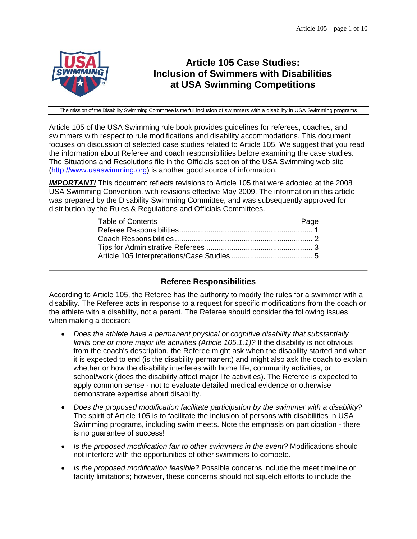

# **Article 105 Case Studies: Inclusion of Swimmers with Disabilities at USA Swimming Competitions**

The mission of the Disability Swimming Committee is the full inclusion of swimmers with a disability in USA Swimming programs

Article 105 of the USA Swimming rule book provides guidelines for referees, coaches, and swimmers with respect to rule modifications and disability accommodations. This document focuses on discussion of selected case studies related to Article 105. We suggest that you read the information about Referee and coach responsibilities before examining the case studies. The Situations and Resolutions file in the Officials section of the USA Swimming web site (http://www.usaswimming.org) is another good source of information.

**IMPORTANT!** This document reflects revisions to Article 105 that were adopted at the 2008 USA Swimming Convention, with revisions effective May 2009. The information in this article was prepared by the Disability Swimming Committee, and was subsequently approved for distribution by the Rules & Regulations and Officials Committees.

| <b>Table of Contents</b> | <u>Page</u> |
|--------------------------|-------------|
|                          |             |
|                          |             |
|                          |             |
|                          |             |

# **Referee Responsibilities**

According to Article 105, the Referee has the authority to modify the rules for a swimmer with a disability. The Referee acts in response to a request for specific modifications from the coach or the athlete with a disability, not a parent. The Referee should consider the following issues when making a decision:

- *Does the athlete have a permanent physical or cognitive disability that substantially limits one or more major life activities (Article 105.1.1)?* If the disability is not obvious from the coach's description, the Referee might ask when the disability started and when it is expected to end (is the disability permanent) and might also ask the coach to explain whether or how the disability interferes with home life, community activities, or school/work (does the disability affect major life activities). The Referee is expected to apply common sense - not to evaluate detailed medical evidence or otherwise demonstrate expertise about disability.
- *Does the proposed modification facilitate participation by the swimmer with a disability?*  The spirit of Article 105 is to facilitate the inclusion of persons with disabilities in USA Swimming programs, including swim meets. Note the emphasis on participation - there is no guarantee of success!
- *Is the proposed modification fair to other swimmers in the event?* Modifications should not interfere with the opportunities of other swimmers to compete.
- *Is the proposed modification feasible?* Possible concerns include the meet timeline or facility limitations; however, these concerns should not squelch efforts to include the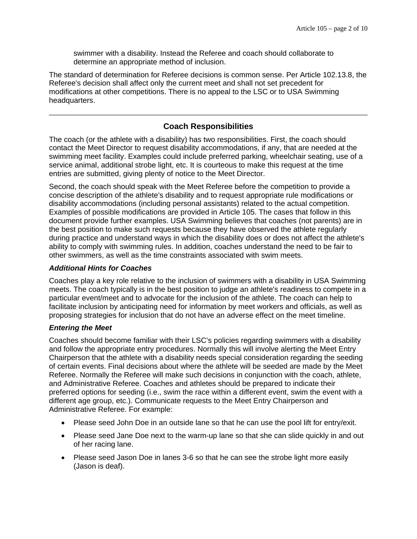swimmer with a disability. Instead the Referee and coach should collaborate to determine an appropriate method of inclusion.

The standard of determination for Referee decisions is common sense. Per Article 102.13.8, the Referee's decision shall affect only the current meet and shall not set precedent for modifications at other competitions. There is no appeal to the LSC or to USA Swimming headquarters.

### **Coach Responsibilities**

The coach (or the athlete with a disability) has two responsibilities. First, the coach should contact the Meet Director to request disability accommodations, if any, that are needed at the swimming meet facility. Examples could include preferred parking, wheelchair seating, use of a service animal, additional strobe light, etc. It is courteous to make this request at the time entries are submitted, giving plenty of notice to the Meet Director.

Second, the coach should speak with the Meet Referee before the competition to provide a concise description of the athlete's disability and to request appropriate rule modifications or disability accommodations (including personal assistants) related to the actual competition. Examples of possible modifications are provided in Article 105. The cases that follow in this document provide further examples. USA Swimming believes that coaches (not parents) are in the best position to make such requests because they have observed the athlete regularly during practice and understand ways in which the disability does or does not affect the athlete's ability to comply with swimming rules. In addition, coaches understand the need to be fair to other swimmers, as well as the time constraints associated with swim meets.

#### *Additional Hints for Coaches*

Coaches play a key role relative to the inclusion of swimmers with a disability in USA Swimming meets. The coach typically is in the best position to judge an athlete's readiness to compete in a particular event/meet and to advocate for the inclusion of the athlete. The coach can help to facilitate inclusion by anticipating need for information by meet workers and officials, as well as proposing strategies for inclusion that do not have an adverse effect on the meet timeline.

#### *Entering the Meet*

Coaches should become familiar with their LSC's policies regarding swimmers with a disability and follow the appropriate entry procedures. Normally this will involve alerting the Meet Entry Chairperson that the athlete with a disability needs special consideration regarding the seeding of certain events. Final decisions about where the athlete will be seeded are made by the Meet Referee. Normally the Referee will make such decisions in conjunction with the coach, athlete, and Administrative Referee. Coaches and athletes should be prepared to indicate their preferred options for seeding (i.e., swim the race within a different event, swim the event with a different age group, etc.). Communicate requests to the Meet Entry Chairperson and Administrative Referee. For example:

- Please seed John Doe in an outside lane so that he can use the pool lift for entry/exit.
- Please seed Jane Doe next to the warm-up lane so that she can slide quickly in and out of her racing lane.
- Please seed Jason Doe in lanes 3-6 so that he can see the strobe light more easily (Jason is deaf).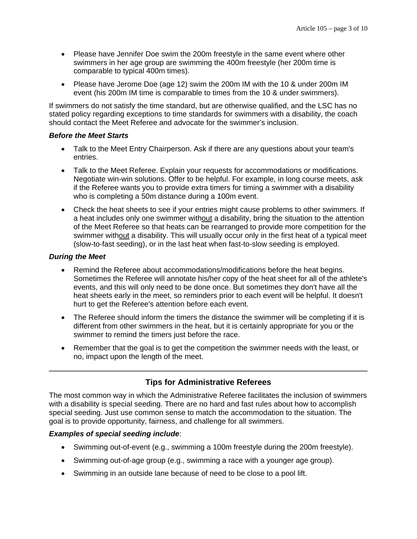- Please have Jennifer Doe swim the 200m freestyle in the same event where other swimmers in her age group are swimming the 400m freestyle (her 200m time is comparable to typical 400m times).
- Please have Jerome Doe (age 12) swim the 200m IM with the 10 & under 200m IM event (his 200m IM time is comparable to times from the 10 & under swimmers).

If swimmers do not satisfy the time standard, but are otherwise qualified, and the LSC has no stated policy regarding exceptions to time standards for swimmers with a disability, the coach should contact the Meet Referee and advocate for the swimmer's inclusion.

#### *Before the Meet Starts*

- Talk to the Meet Entry Chairperson. Ask if there are any questions about your team's entries.
- Talk to the Meet Referee. Explain your requests for accommodations or modifications. Negotiate win-win solutions. Offer to be helpful. For example, in long course meets, ask if the Referee wants you to provide extra timers for timing a swimmer with a disability who is completing a 50m distance during a 100m event.
- Check the heat sheets to see if your entries might cause problems to other swimmers. If a heat includes only one swimmer without a disability, bring the situation to the attention of the Meet Referee so that heats can be rearranged to provide more competition for the swimmer without a disability. This will usually occur only in the first heat of a typical meet (slow-to-fast seeding), or in the last heat when fast-to-slow seeding is employed.

#### *During the Meet*

- Remind the Referee about accommodations/modifications before the heat begins. Sometimes the Referee will annotate his/her copy of the heat sheet for all of the athlete's events, and this will only need to be done once. But sometimes they don't have all the heat sheets early in the meet, so reminders prior to each event will be helpful. It doesn't hurt to get the Referee's attention before each event.
- The Referee should inform the timers the distance the swimmer will be completing if it is different from other swimmers in the heat, but it is certainly appropriate for you or the swimmer to remind the timers just before the race.
- Remember that the goal is to get the competition the swimmer needs with the least, or no, impact upon the length of the meet.

# **Tips for Administrative Referees**

The most common way in which the Administrative Referee facilitates the inclusion of swimmers with a disability is special seeding. There are no hard and fast rules about how to accomplish special seeding. Just use common sense to match the accommodation to the situation. The goal is to provide opportunity, fairness, and challenge for all swimmers.

#### *Examples of special seeding include*:

- Swimming out-of-event (e.g., swimming a 100m freestyle during the 200m freestyle).
- Swimming out-of-age group (e.g., swimming a race with a younger age group).
- Swimming in an outside lane because of need to be close to a pool lift.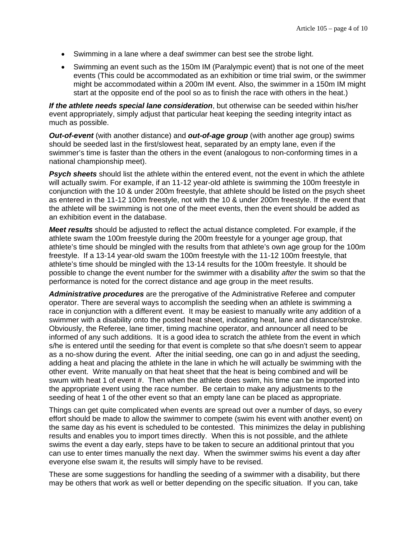- Swimming in a lane where a deaf swimmer can best see the strobe light.
- Swimming an event such as the 150m IM (Paralympic event) that is not one of the meet events (This could be accommodated as an exhibition or time trial swim, or the swimmer might be accommodated within a 200m IM event. Also, the swimmer in a 150m IM might start at the opposite end of the pool so as to finish the race with others in the heat.)

*If the athlete needs special lane consideration*, but otherwise can be seeded within his/her event appropriately, simply adjust that particular heat keeping the seeding integrity intact as much as possible.

*Out-of-event* (with another distance) and *out-of-age group* (with another age group) swims should be seeded last in the first/slowest heat, separated by an empty lane, even if the swimmer's time is faster than the others in the event (analogous to non-conforming times in a national championship meet).

**Psych sheets** should list the athlete within the entered event, not the event in which the athlete will actually swim. For example, if an 11-12 year-old athlete is swimming the 100m freestyle in conjunction with the 10 & under 200m freestyle, that athlete should be listed on the psych sheet as entered in the 11-12 100m freestyle, not with the 10 & under 200m freestyle. If the event that the athlete will be swimming is not one of the meet events, then the event should be added as an exhibition event in the database.

*Meet results* should be adjusted to reflect the actual distance completed. For example, if the athlete swam the 100m freestyle during the 200m freestyle for a younger age group, that athlete's time should be mingled with the results from that athlete's own age group for the 100m freestyle. If a 13-14 year-old swam the 100m freestyle with the 11-12 100m freestyle, that athlete's time should be mingled with the 13-14 results for the 100m freestyle. It should be possible to change the event number for the swimmer with a disability *after* the swim so that the performance is noted for the correct distance and age group in the meet results.

*Administrative procedures* are the prerogative of the Administrative Referee and computer operator. There are several ways to accomplish the seeding when an athlete is swimming a race in conjunction with a different event. It may be easiest to manually write any addition of a swimmer with a disability onto the posted heat sheet, indicating heat, lane and distance/stroke. Obviously, the Referee, lane timer, timing machine operator, and announcer all need to be informed of any such additions. It is a good idea to scratch the athlete from the event in which s/he is entered until the seeding for that event is complete so that s/he doesn't seem to appear as a no-show during the event. After the initial seeding, one can go in and adjust the seeding, adding a heat and placing the athlete in the lane in which he will actually be swimming with the other event. Write manually on that heat sheet that the heat is being combined and will be swum with heat 1 of event #. Then when the athlete does swim, his time can be imported into the appropriate event using the race number. Be certain to make any adjustments to the seeding of heat 1 of the other event so that an empty lane can be placed as appropriate.

Things can get quite complicated when events are spread out over a number of days, so every effort should be made to allow the swimmer to compete (swim his event with another event) on the same day as his event is scheduled to be contested. This minimizes the delay in publishing results and enables you to import times directly. When this is not possible, and the athlete swims the event a day early, steps have to be taken to secure an additional printout that you can use to enter times manually the next day. When the swimmer swims his event a day after everyone else swam it, the results will simply have to be revised.

These are some suggestions for handling the seeding of a swimmer with a disability, but there may be others that work as well or better depending on the specific situation. If you can, take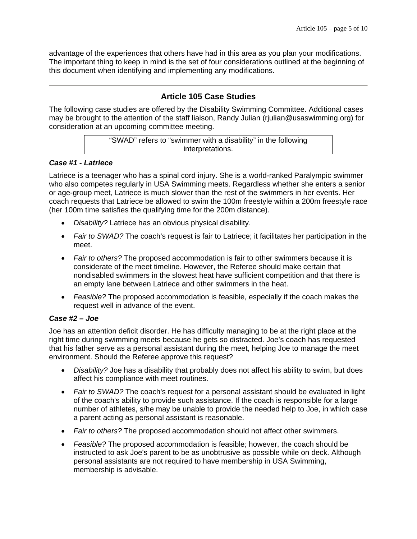advantage of the experiences that others have had in this area as you plan your modifications. The important thing to keep in mind is the set of four considerations outlined at the beginning of this document when identifying and implementing any modifications.

# **Article 105 Case Studies**

The following case studies are offered by the Disability Swimming Committee. Additional cases may be brought to the attention of the staff liaison, Randy Julian (rjulian@usaswimming.org) for consideration at an upcoming committee meeting.

> "SWAD" refers to "swimmer with a disability" in the following interpretations.

#### *Case #1 - Latriece*

Latriece is a teenager who has a spinal cord injury. She is a world-ranked Paralympic swimmer who also competes regularly in USA Swimming meets. Regardless whether she enters a senior or age-group meet, Latriece is much slower than the rest of the swimmers in her events. Her coach requests that Latriece be allowed to swim the 100m freestyle within a 200m freestyle race (her 100m time satisfies the qualifying time for the 200m distance).

- *Disability?* Latriece has an obvious physical disability.
- *Fair to SWAD?* The coach's request is fair to Latriece; it facilitates her participation in the meet.
- *Fair to others?* The proposed accommodation is fair to other swimmers because it is considerate of the meet timeline. However, the Referee should make certain that nondisabled swimmers in the slowest heat have sufficient competition and that there is an empty lane between Latriece and other swimmers in the heat.
- *Feasible?* The proposed accommodation is feasible, especially if the coach makes the request well in advance of the event.

#### *Case #2 – Joe*

Joe has an attention deficit disorder. He has difficulty managing to be at the right place at the right time during swimming meets because he gets so distracted. Joe's coach has requested that his father serve as a personal assistant during the meet, helping Joe to manage the meet environment. Should the Referee approve this request?

- *Disability?* Joe has a disability that probably does not affect his ability to swim, but does affect his compliance with meet routines.
- Fair to SWAD? The coach's request for a personal assistant should be evaluated in light of the coach's ability to provide such assistance. If the coach is responsible for a large number of athletes, s/he may be unable to provide the needed help to Joe, in which case a parent acting as personal assistant is reasonable.
- *Fair to others?* The proposed accommodation should not affect other swimmers.
- *Feasible?* The proposed accommodation is feasible; however, the coach should be instructed to ask Joe's parent to be as unobtrusive as possible while on deck. Although personal assistants are not required to have membership in USA Swimming, membership is advisable.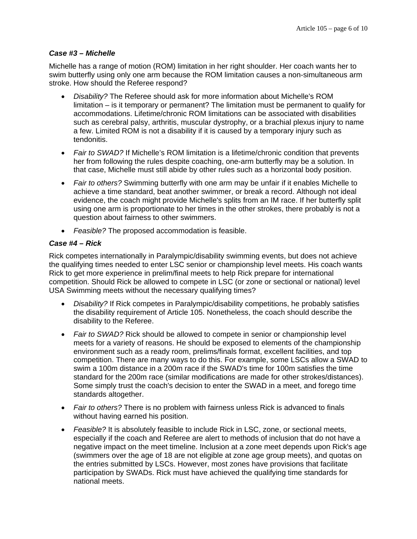#### *Case #3 – Michelle*

Michelle has a range of motion (ROM) limitation in her right shoulder. Her coach wants her to swim butterfly using only one arm because the ROM limitation causes a non-simultaneous arm stroke. How should the Referee respond?

- *Disability?* The Referee should ask for more information about Michelle's ROM limitation – is it temporary or permanent? The limitation must be permanent to qualify for accommodations. Lifetime/chronic ROM limitations can be associated with disabilities such as cerebral palsy, arthritis, muscular dystrophy, or a brachial plexus injury to name a few. Limited ROM is not a disability if it is caused by a temporary injury such as tendonitis.
- *Fair to SWAD?* If Michelle's ROM limitation is a lifetime/chronic condition that prevents her from following the rules despite coaching, one-arm butterfly may be a solution. In that case, Michelle must still abide by other rules such as a horizontal body position.
- *Fair to others?* Swimming butterfly with one arm may be unfair if it enables Michelle to achieve a time standard, beat another swimmer, or break a record. Although not ideal evidence, the coach might provide Michelle's splits from an IM race. If her butterfly split using one arm is proportionate to her times in the other strokes, there probably is not a question about fairness to other swimmers.
- *Feasible?* The proposed accommodation is feasible.

#### *Case #4 – Rick*

Rick competes internationally in Paralympic/disability swimming events, but does not achieve the qualifying times needed to enter LSC senior or championship level meets. His coach wants Rick to get more experience in prelim/final meets to help Rick prepare for international competition. Should Rick be allowed to compete in LSC (or zone or sectional or national) level USA Swimming meets without the necessary qualifying times?

- *Disability?* If Rick competes in Paralympic/disability competitions, he probably satisfies the disability requirement of Article 105. Nonetheless, the coach should describe the disability to the Referee.
- *Fair to SWAD?* Rick should be allowed to compete in senior or championship level meets for a variety of reasons. He should be exposed to elements of the championship environment such as a ready room, prelims/finals format, excellent facilities, and top competition. There are many ways to do this. For example, some LSCs allow a SWAD to swim a 100m distance in a 200m race if the SWAD's time for 100m satisfies the time standard for the 200m race (similar modifications are made for other strokes/distances). Some simply trust the coach's decision to enter the SWAD in a meet, and forego time standards altogether.
- *Fair to others?* There is no problem with fairness unless Rick is advanced to finals without having earned his position.
- *Feasible?* It is absolutely feasible to include Rick in LSC, zone, or sectional meets, especially if the coach and Referee are alert to methods of inclusion that do not have a negative impact on the meet timeline. Inclusion at a zone meet depends upon Rick's age (swimmers over the age of 18 are not eligible at zone age group meets), and quotas on the entries submitted by LSCs. However, most zones have provisions that facilitate participation by SWADs. Rick must have achieved the qualifying time standards for national meets.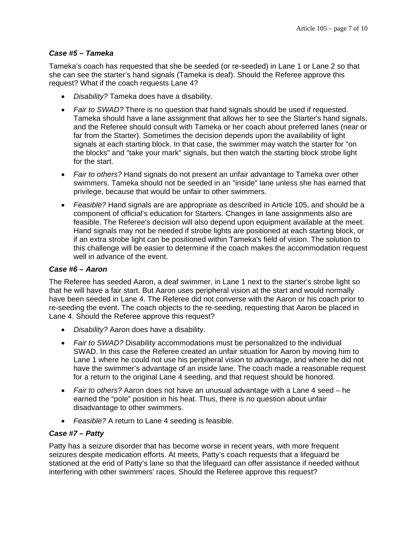### *Case #5 – Tameka*

Tameka's coach has requested that she be seeded (or re-seeded) in Lane 1 or Lane 2 so that she can see the starter's hand signals (Tameka is deaf). Should the Referee approve this request? What if the coach requests Lane 4?

- *Disability?* Tameka does have a disability.
- *Fair to SWAD?* There is no question that hand signals should be used if requested. Tameka should have a lane assignment that allows her to see the Starter's hand signals, and the Referee should consult with Tameka or her coach about preferred lanes (near or far from the Starter). Sometimes the decision depends upon the availability of light signals at each starting block. In that case, the swimmer may watch the starter for "on the blocks" and "take your mark" signals, but then watch the starting block strobe light for the start.
- *Fair to others?* Hand signals do not present an unfair advantage to Tameka over other swimmers. Tameka should not be seeded in an "inside" lane unless she has earned that privilege, because that would be unfair to other swimmers.
- *Feasible?* Hand signals are are appropriate as described in Article 105, and should be a component of official's education for Starters. Changes in lane assignments also are feasible. The Referee's decision will also depend upon equipment available at the meet. Hand signals may not be needed if strobe lights are positioned at each starting block, or if an extra strobe light can be positioned within Tameka's field of vision. The solution to this challenge will be easier to determine if the coach makes the accommodation request well in advance of the event.

#### *Case #6 – Aaron*

The Referee has seeded Aaron, a deaf swimmer, in Lane 1 next to the starter's strobe light so that he will have a fair start. But Aaron uses peripheral vision at the start and would normally have been seeded in Lane 4. The Referee did not converse with the Aaron or his coach prior to re-seeding the event. The coach objects to the re-seeding, requesting that Aaron be placed in Lane 4. Should the Referee approve this request?

- *Disability?* Aaron does have a disability.
- *Fair to SWAD?* Disability accommodations must be personalized to the individual SWAD. In this case the Referee created an unfair situation for Aaron by moving him to Lane 1 where he could not use his peripheral vision to advantage, and where he did not have the swimmer's advantage of an inside lane. The coach made a reasonable request for a return to the original Lane 4 seeding, and that request should be honored.
- *Fair to others?* Aaron does not have an unusual advantage with a Lane 4 seed he earned the "pole" position in his heat. Thus, there is no question about unfair disadvantage to other swimmers.
- *Feasible?* A return to Lane 4 seeding is feasible.

# *Case #7 – Patty*

Patty has a seizure disorder that has become worse in recent years, with more frequent seizures despite medication efforts. At meets, Patty's coach requests that a lifeguard be stationed at the end of Patty's lane so that the lifeguard can offer assistance if needed without interfering with other swimmers' races. Should the Referee approve this request?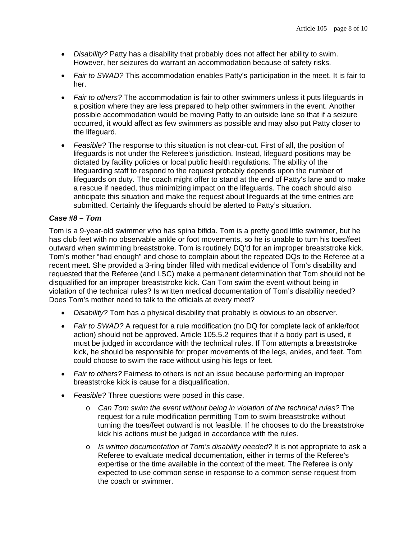- *Disability?* Patty has a disability that probably does not affect her ability to swim. However, her seizures do warrant an accommodation because of safety risks.
- *Fair to SWAD?* This accommodation enables Patty's participation in the meet. It is fair to her.
- *Fair to others?* The accommodation is fair to other swimmers unless it puts lifeguards in a position where they are less prepared to help other swimmers in the event. Another possible accommodation would be moving Patty to an outside lane so that if a seizure occurred, it would affect as few swimmers as possible and may also put Patty closer to the lifeguard.
- *Feasible?* The response to this situation is not clear-cut. First of all, the position of lifeguards is not under the Referee's jurisdiction. Instead, lifeguard positions may be dictated by facility policies or local public health regulations. The ability of the lifeguarding staff to respond to the request probably depends upon the number of lifeguards on duty. The coach might offer to stand at the end of Patty's lane and to make a rescue if needed, thus minimizing impact on the lifeguards. The coach should also anticipate this situation and make the request about lifeguards at the time entries are submitted. Certainly the lifeguards should be alerted to Patty's situation.

#### *Case #8 – Tom*

Tom is a 9-year-old swimmer who has spina bifida. Tom is a pretty good little swimmer, but he has club feet with no observable ankle or foot movements, so he is unable to turn his toes/feet outward when swimming breaststroke. Tom is routinely DQ'd for an improper breaststroke kick. Tom's mother "had enough" and chose to complain about the repeated DQs to the Referee at a recent meet. She provided a 3-ring binder filled with medical evidence of Tom's disability and requested that the Referee (and LSC) make a permanent determination that Tom should not be disqualified for an improper breaststroke kick. Can Tom swim the event without being in violation of the technical rules? Is written medical documentation of Tom's disability needed? Does Tom's mother need to talk to the officials at every meet?

- *Disability?* Tom has a physical disability that probably is obvious to an observer.
- *Fair to SWAD?* A request for a rule modification (no DQ for complete lack of ankle/foot action) should not be approved. Article 105.5.2 requires that if a body part is used, it must be judged in accordance with the technical rules. If Tom attempts a breaststroke kick, he should be responsible for proper movements of the legs, ankles, and feet. Tom could choose to swim the race without using his legs or feet.
- *Fair to others?* Fairness to others is not an issue because performing an improper breaststroke kick is cause for a disqualification.
- *Feasible?* Three questions were posed in this case.
	- o *Can Tom swim the event without being in violation of the technical rules?* The request for a rule modification permitting Tom to swim breaststroke without turning the toes/feet outward is not feasible. If he chooses to do the breaststroke kick his actions must be judged in accordance with the rules.
	- o *Is written documentation of Tom's disability needed?* It is not appropriate to ask a Referee to evaluate medical documentation, either in terms of the Referee's expertise or the time available in the context of the meet. The Referee is only expected to use common sense in response to a common sense request from the coach or swimmer.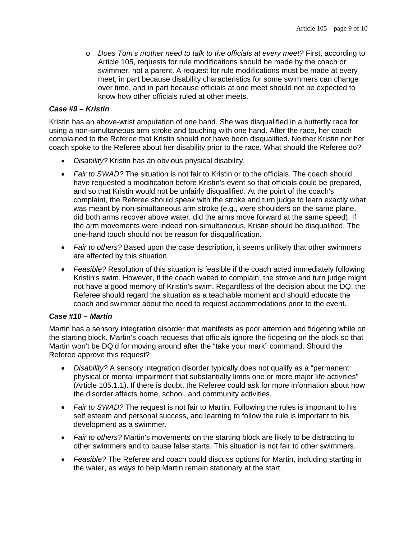o *Does Tom's mother need to talk to the officials at every meet?* First, according to Article 105, requests for rule modifications should be made by the coach or swimmer, not a parent. A request for rule modifications must be made at every meet, in part because disability characteristics for some swimmers can change over time, and in part because officials at one meet should not be expected to know how other officials ruled at other meets.

#### *Case #9 – Kristin*

Kristin has an above-wrist amputation of one hand. She was disqualified in a butterfly race for using a non-simultaneous arm stroke and touching with one hand. After the race, her coach complained to the Referee that Kristin should not have been disqualified. Neither Kristin nor her coach spoke to the Referee about her disability prior to the race. What should the Referee do?

- *Disability?* Kristin has an obvious physical disability.
- Fair to SWAD? The situation is not fair to Kristin or to the officials. The coach should have requested a modification before Kristin's event so that officials could be prepared, and so that Kristin would not be unfairly disqualified. At the point of the coach's complaint, the Referee should speak with the stroke and turn judge to learn exactly what was meant by non-simultaneous arm stroke (e.g., were shoulders on the same plane, did both arms recover above water, did the arms move forward at the same speed). If the arm movements were indeed non-simultaneous, Kristin should be disqualified. The one-hand touch should not be reason for disqualification.
- *Fair to others?* Based upon the case description, it seems unlikely that other swimmers are affected by this situation.
- *Feasible?* Resolution of this situation is feasible if the coach acted immediately following Kristin's swim. However, if the coach waited to complain, the stroke and turn judge might not have a good memory of Kristin's swim. Regardless of the decision about the DQ, the Referee should regard the situation as a teachable moment and should educate the coach and swimmer about the need to request accommodations prior to the event.

#### *Case #10 – Martin*

Martin has a sensory integration disorder that manifests as poor attention and fidgeting while on the starting block. Martin's coach requests that officials ignore the fidgeting on the block so that Martin won't be DQ'd for moving around after the "take your mark" command. Should the Referee approve this request?

- *Disability?* A sensory integration disorder typically does not qualify as a "permanent physical or mental impairment that substantially limits one or more major life activities" (Article 105.1.1). If there is doubt, the Referee could ask for more information about how the disorder affects home, school, and community activities.
- *Fair to SWAD?* The request is not fair to Martin. Following the rules is important to his self esteem and personal success, and learning to follow the rule is important to his development as a swimmer.
- *Fair to others?* Martin's movements on the starting block are likely to be distracting to other swimmers and to cause false starts. This situation is not fair to other swimmers.
- *Feasible?* The Referee and coach could discuss options for Martin, including starting in the water, as ways to help Martin remain stationary at the start.